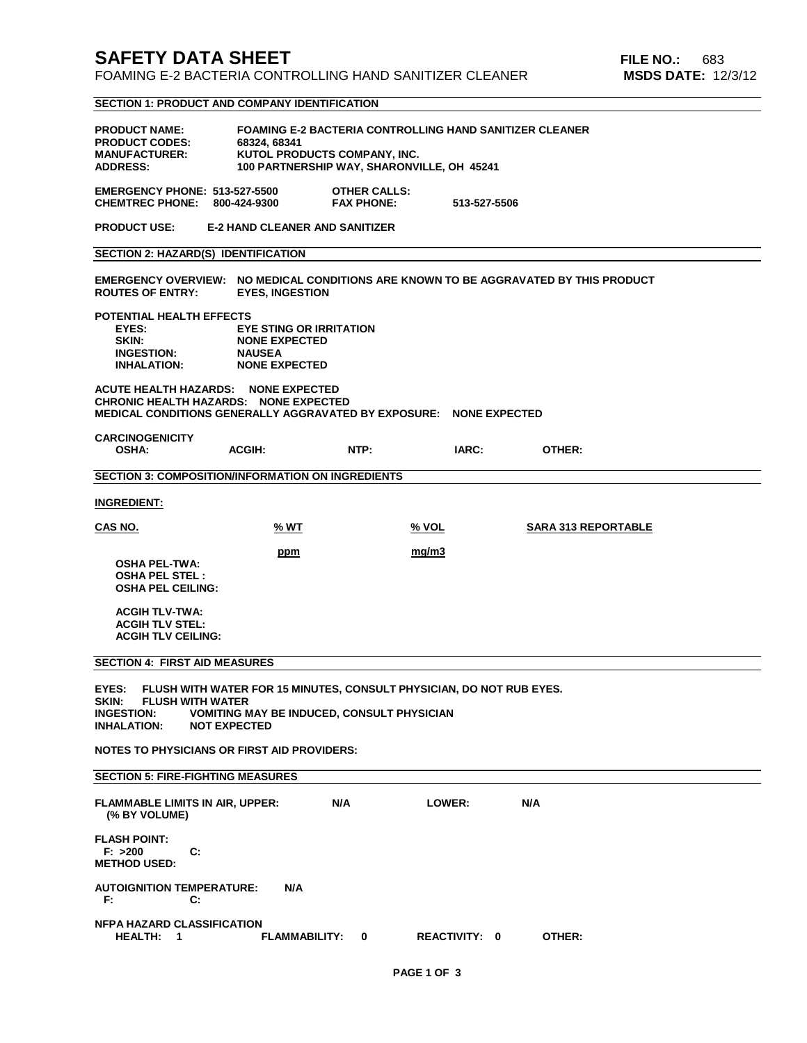# **SAFETY DATA SHEET FILE NO.:** 683 FOAMING E-2 BACTERIA CONTROLLING HAND SANITIZER CLEANER **MSDS DATE:** 12/3/12 **SECTION 1: PRODUCT AND COMPANY IDENTIFICATION PRODUCT NAME: FOAMING E-2 BACTERIA CONTROLLING HAND SANITIZER CLEANER PRODUCT CODES: 68324, 68341 MANUFACTURER:** KUTOL PRODUCTS COMPANY, INC.<br>ADDRESS: 100 PARTNERSHIP WAY, SHARONV 100 PARTNERSHIP WAY, SHARONVILLE, OH 45241 **EMERGENCY PHONE: 513-527-5500 OTHER CALLS: CHEMTREC PHONE: 800-424-9300 FAX PHONE: 513-527-5506 PRODUCT USE: E-2 HAND CLEANER AND SANITIZER SECTION 2: HAZARD(S) IDENTIFICATION EMERGENCY OVERVIEW: NO MEDICAL CONDITIONS ARE KNOWN TO BE AGGRAVATED BY THIS PRODUCT ROUTES OF ENTRY: POTENTIAL HEALTH EFFECTS EYES: EYE STING OR IRRITATION NONE EXPECTED**<br>NAUSEA **INGESTION:**<br>INHALATION: **NONE EXPECTED ACUTE HEALTH HAZARDS: NONE EXPECTED CHRONIC HEALTH HAZARDS: NONE EXPECTED MEDICAL CONDITIONS GENERALLY AGGRAVATED BY EXPOSURE: NONE EXPECTED CARCINOGENICITY OSHA: ACGIH: NTP: IARC: OTHER: SECTION 3: COMPOSITION/INFORMATION ON INGREDIENTS INGREDIENT: CAS NO. % WT % VOL SARA 313 REPORTABLE ppm** mg/m3  **OSHA PEL-TWA: OSHA PEL STEL : OSHA PEL CEILING: ACGIH TLV-TWA:**

#### **SECTION 4: FIRST AID MEASURES**

 **ACGIH TLV STEL: ACGIH TLV CEILING:** 

**EYES: FLUSH WITH WATER FOR 15 MINUTES, CONSULT PHYSICIAN, DO NOT RUB EYES. SKIN: FLUSH WITH WATER VOMITING MAY BE INDUCED, CONSULT PHYSICIAN INHALATION: NOT EXPECTED**

**NOTES TO PHYSICIANS OR FIRST AID PROVIDERS:**

### **SECTION 5: FIRE-FIGHTING MEASURES**

| <b>FLAMMABLE LIMITS IN AIR, UPPER:</b><br>(% BY VOLUME)   |    | N/A             | LOWER:               | N/A |        |
|-----------------------------------------------------------|----|-----------------|----------------------|-----|--------|
| <b>FLASH POINT:</b><br>F: > 200<br><b>METHOD USED:</b>    | C: |                 |                      |     |        |
| <b>AUTOIGNITION TEMPERATURE:</b><br>F:                    | C: | N/A             |                      |     |        |
| <b>NFPA HAZARD CLASSIFICATION</b><br><b>HEALTH:</b><br>-1 |    | FLAMMABILITY: 0 | <b>REACTIVITY: 0</b> |     | OTHER: |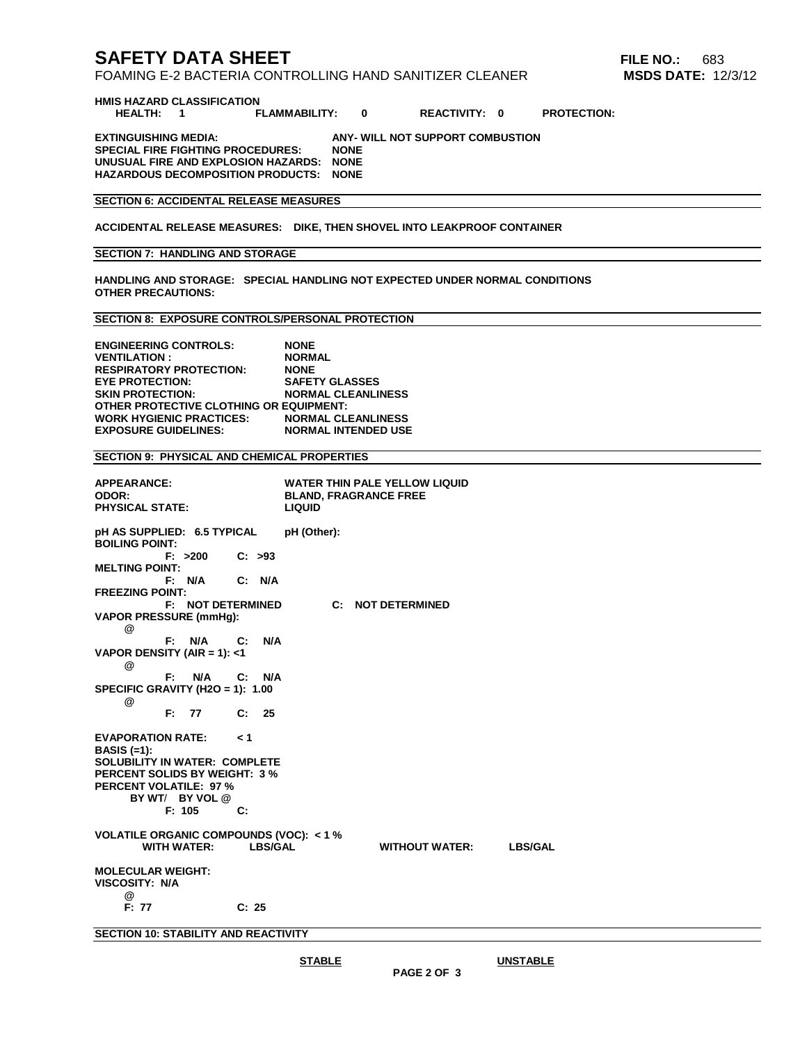# **SAFETY DATA SHEET FILE NO.:** 683

# FOAMING E-2 BACTERIA CONTROLLING HAND SANITIZER CLEANER **MSDS DATE:** 12/3/12

**HMIS HAZARD CLASSIFICATION**

 **HEALTH: 1 FLAMMABILITY: 0 REACTIVITY: 0 PROTECTION:**

**EXTINGUISHING MEDIA: ANY- WILL NOT SUPPORT COMBUSTION SPECIAL FIRE FIGHTING PROCEDURES: UNUSUAL FIRE AND EXPLOSION HAZARDS: NONE HAZARDOUS DECOMPOSITION PRODUCTS: NONE**

## **SECTION 6: ACCIDENTAL RELEASE MEASURES**

**ACCIDENTAL RELEASE MEASURES: DIKE, THEN SHOVEL INTO LEAKPROOF CONTAINER**

#### **SECTION 7: HANDLING AND STORAGE**

**HANDLING AND STORAGE: SPECIAL HANDLING NOT EXPECTED UNDER NORMAL CONDITIONS OTHER PRECAUTIONS:**

#### **SECTION 8: EXPOSURE CONTROLS/PERSONAL PROTECTION**

**ENGINEERING CONTROLS: NONE VENTILATION : NORMAL RESPIRATORY PROTECTION: NONE EYE PROTECTION:**<br>**SKIN PROTECTION: NORMAL CLEANLINESS OTHER PROTECTIVE CLOTHING OR EQUIPMENT: WORK HYGIENIC PRACTICES: EXPOSURE GUIDELINES: NORMAL INTENDED USE**

## **SECTION 9: PHYSICAL AND CHEMICAL PROPERTIES**

| <b>APPEARANCE:</b><br>ODOR:<br><b>PHYSICAL STATE:</b>  | <b>WATER THIN PALE YELLOW LIQUID</b><br><b>BLAND, FRAGRANCE FREE</b><br><b>LIQUID</b> |  |  |  |  |  |  |
|--------------------------------------------------------|---------------------------------------------------------------------------------------|--|--|--|--|--|--|
| pH AS SUPPLIED: 6.5 TYPICAL<br><b>BOILING POINT:</b>   | pH (Other):                                                                           |  |  |  |  |  |  |
| $F: >200$ $C: >93$<br><b>MELTING POINT:</b>            |                                                                                       |  |  |  |  |  |  |
| F: N/A<br>C: N/A                                       |                                                                                       |  |  |  |  |  |  |
| <b>FREEZING POINT:</b>                                 |                                                                                       |  |  |  |  |  |  |
| <b>F: NOT DETERMINED</b>                               | <b>C: NOT DETERMINED</b>                                                              |  |  |  |  |  |  |
| <b>VAPOR PRESSURE (mmHg):</b><br>@                     |                                                                                       |  |  |  |  |  |  |
| $N/A$ $C: N/A$<br>F۰                                   |                                                                                       |  |  |  |  |  |  |
| VAPOR DENSITY (AIR = 1): $<$ 1<br>@                    |                                                                                       |  |  |  |  |  |  |
| F.<br>N/A C: N/A                                       |                                                                                       |  |  |  |  |  |  |
| SPECIFIC GRAVITY (H2O = 1): $1.00$<br>@                |                                                                                       |  |  |  |  |  |  |
| F: 77 C: 25                                            |                                                                                       |  |  |  |  |  |  |
| EVAPORATION RATE: <1                                   |                                                                                       |  |  |  |  |  |  |
| BASIS $(=1)$ :<br><b>SOLUBILITY IN WATER: COMPLETE</b> |                                                                                       |  |  |  |  |  |  |
| <b>PERCENT SOLIDS BY WEIGHT: 3 %</b>                   |                                                                                       |  |  |  |  |  |  |
| <b>PERCENT VOLATILE: 97 %</b>                          |                                                                                       |  |  |  |  |  |  |
| BY WT/ BY VOL @                                        |                                                                                       |  |  |  |  |  |  |
| F: 105<br>C:                                           |                                                                                       |  |  |  |  |  |  |
| <b>VOLATILE ORGANIC COMPOUNDS (VOC): &lt;1%</b>        |                                                                                       |  |  |  |  |  |  |
| <b>WITH WATER:</b><br><b>LBS/GAL</b>                   | <b>LBS/GAL</b><br><b>WITHOUT WATER:</b>                                               |  |  |  |  |  |  |
| <b>MOLECULAR WEIGHT:</b><br><b>VISCOSITY: N/A</b>      |                                                                                       |  |  |  |  |  |  |
| @                                                      |                                                                                       |  |  |  |  |  |  |
| F: 77<br>C: 25                                         |                                                                                       |  |  |  |  |  |  |
| SECTION 10: STARILITY AND REACTIVITY                   |                                                                                       |  |  |  |  |  |  |

**SECTION 10: STABILITY AND REACTIVITY**

**STABLE UNSTABLE**